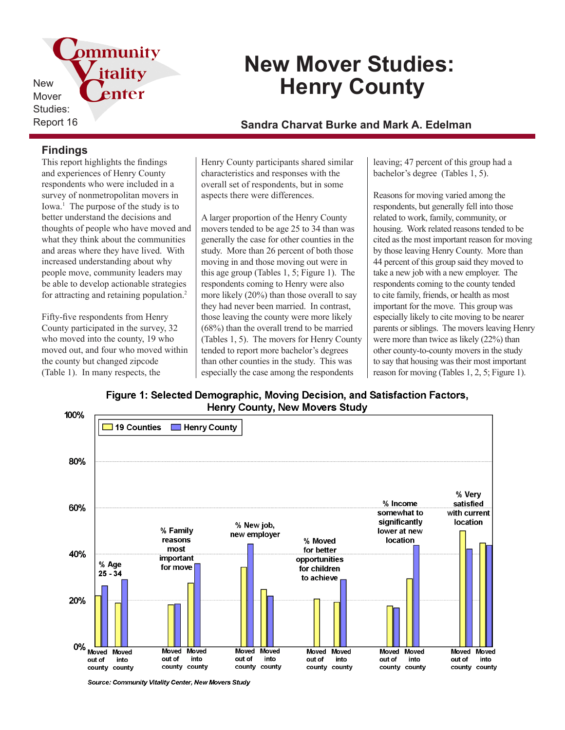pmmunity itality New enter Mover Studies:

# **New Mover Studies: Henry County**

Report 16 **Sandra Charvat Burke and Mark A. Edelman**

### **Findings**

This report highlights the findings and experiences of Henry County respondents who were included in a survey of nonmetropolitan movers in Iowa.<sup>1</sup> The purpose of the study is to better understand the decisions and thoughts of people who have moved and what they think about the communities and areas where they have lived. With increased understanding about why people move, community leaders may be able to develop actionable strategies for attracting and retaining population.<sup>2</sup>

Fifty-five respondents from Henry County participated in the survey, 32 who moved into the county, 19 who moved out, and four who moved within the county but changed zipcode (Table 1). In many respects, the

Henry County participants shared similar characteristics and responses with the overall set of respondents, but in some aspects there were differences.

A larger proportion of the Henry County movers tended to be age 25 to 34 than was generally the case for other counties in the study. More than 26 percent of both those moving in and those moving out were in this age group (Tables 1, 5; Figure 1). The respondents coming to Henry were also more likely (20%) than those overall to say they had never been married. In contrast, those leaving the county were more likely (68%) than the overall trend to be married (Tables 1, 5). The movers for Henry County tended to report more bachelor's degrees than other counties in the study. This was especially the case among the respondents

leaving; 47 percent of this group had a bachelor's degree (Tables 1, 5).

Reasons for moving varied among the respondents, but generally fell into those related to work, family, community, or housing. Work related reasons tended to be cited as the most important reason for moving by those leaving Henry County. More than 44 percent of this group said they moved to take a new job with a new employer. The respondents coming to the county tended to cite family, friends, or health as most important for the move. This group was especially likely to cite moving to be nearer parents or siblings. The movers leaving Henry were more than twice as likely (22%) than other county-to-county movers in the study to say that housing was their most important reason for moving (Tables 1, 2, 5; Figure 1).

Figure 1: Selected Demographic, Moving Decision, and Satisfaction Factors, Henry County, New Movers Study



Source: Community Vitality Center, New Movers Study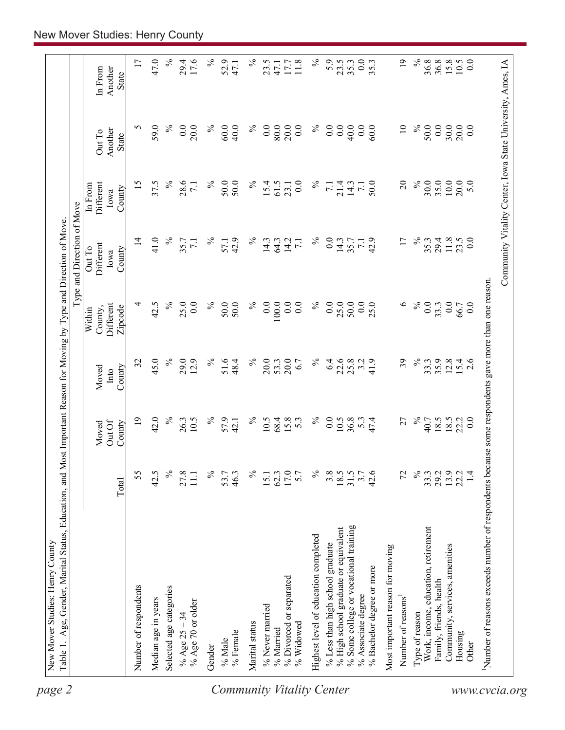| page 2                    |                                                                                                     |                      |                           |                             |                                           | Type and Direction of Move           |                                        |                                                            |                                    |
|---------------------------|-----------------------------------------------------------------------------------------------------|----------------------|---------------------------|-----------------------------|-------------------------------------------|--------------------------------------|----------------------------------------|------------------------------------------------------------|------------------------------------|
|                           |                                                                                                     | Total                | Out Of<br>County<br>Moved | Moved<br>County<br>$\ln 10$ | Different<br>County,<br>Zipcode<br>Within | Different<br>OutTo<br>County<br>Iowa | Different<br>In From<br>County<br>Iowa | Another<br>Out To<br>State                                 | Another<br>In From<br><b>State</b> |
|                           | Number of respondents                                                                               | 55                   | $\overline{19}$           | 32                          | 4                                         | $\overline{4}$                       | 15                                     | S                                                          | 17                                 |
|                           | Median age in years                                                                                 | 42.5                 | 42.0                      | 45.0                        | 42.5                                      | 41.0                                 | 37.5                                   | 59.0                                                       | 47.0                               |
|                           | Selected age categories                                                                             | $\%$                 | $\%$                      | $\%$                        | $\%$                                      | $\%$                                 | $\%$                                   | $\%$                                                       | $\%$                               |
|                           | % Age 70 or older<br>% Age $25 - 34$                                                                | 27.8<br>111          | 26.3<br>10.5              | 29.0<br>12.9                | 25.0<br>0.0                               | 35.7<br>7.1                          | 28.6<br>$\overline{71}$                | $\overline{0}$ .<br>20.0                                   | 29.4<br>17.6                       |
|                           | Gender                                                                                              | $\%$                 | $\%$                      | $\%$                        | $\%$                                      | $\%$                                 | $\%$                                   | $\%$                                                       | $\%$                               |
| Community Vitality Center | % Female<br>$\%$ Male                                                                               | 53.7<br>46.3         | 57.9<br>42.1              | 51.6<br>48.4                | 50.0<br>50.0                              | 42.9<br>57.1                         | 50.0<br>50.0                           | 60.0<br>40.0                                               | 52.9<br>47.1                       |
|                           | Marital status                                                                                      | $\%$                 | $\%$                      | $\%$                        | $\%$                                      | $\%$                                 | $\%$                                   | $\%$                                                       | $\%$                               |
|                           | % Never married                                                                                     | 15.1                 | 10.5                      | 20.0                        | 0.0                                       | 14.3                                 | 15.4                                   | 0.0                                                        | 23.5                               |
|                           | % Married                                                                                           | 62.3                 | 68.4                      | 53.3                        | 100.0                                     | 64.3                                 | 61.5                                   | 80.0                                                       | 47.1                               |
|                           | % Divorced or separated<br>% Widowed                                                                | 5.7                  | 15.8<br>5.3               | 20.0<br>6.7                 | 0.0<br>0.0                                | 14.2<br>$\overline{7.1}$             | 0.0<br>23.1                            | 20.0<br>0.0                                                | 11.8<br>17.7                       |
|                           |                                                                                                     |                      |                           |                             |                                           |                                      |                                        |                                                            |                                    |
|                           | Highest level of education completed                                                                | $\%$                 | $\%$                      | $\%$                        | $\%$                                      | $\%$                                 | $\%$                                   | $\%$                                                       | $\%$                               |
|                           | % Less than high school graduate                                                                    | 3.8                  | 0.0                       | 6.4                         | 0.0                                       | 0.0                                  | $\overline{7.1}$                       | 0.0                                                        | 5.9                                |
|                           | % High school graduate or equivalent                                                                | $18.5$<br>31.5       | 10.5                      | 22.6                        | 25.0                                      | 14.3                                 | 21.4                                   | 0.0                                                        | 23.5                               |
|                           | % Some college or vocational training                                                               |                      | 36.8                      | 25.8                        | 50.0                                      | 35.7                                 | 14.3                                   | 40.0                                                       | 35.3                               |
|                           | % Bachelor degree or more<br>% Associate degree                                                     | $3.7$<br>$42.6$      | 5.3<br>47.4               | 3.2<br>41.9                 | 0.0<br>25.0                               | 42.9<br>$\overline{7}$ 1             | 50.0                                   | 0.0<br>60.0                                                | 0.0<br>35.3                        |
|                           | Most important reason for moving                                                                    |                      |                           |                             |                                           |                                      |                                        |                                                            |                                    |
|                           | Number of reasons                                                                                   | 72                   | 27                        | 39                          | $\circ$                                   | $\overline{17}$                      | $\overline{c}$                         | $\overline{10}$                                            | $\overline{19}$                    |
|                           | Type of reason                                                                                      | $\%$                 | $\%$                      | $\%$                        | $\%$                                      | $\%$                                 | $\%$                                   | $\%$                                                       | $\%$                               |
|                           | Work, income, education, retirement                                                                 | 33.3                 | 40.7                      | 33.3                        | 0.0                                       | 35.3                                 | 30.0                                   | 50.0                                                       | 36.8                               |
|                           | Family, friends, health                                                                             |                      | 18.5                      | 35.9                        | 33.3                                      | 29.4                                 | 35.0                                   | 0.0                                                        | 36.8                               |
|                           | Community, services, amenities                                                                      | 29.2<br>13.9<br>22.2 | 18.5<br>22.2              | 12.8                        | 0.0<br>66.7                               | 11.8                                 | $10.0$<br>20.0                         | 30.0<br>20.0                                               | 15.8<br>10.5                       |
|                           | Housing<br>Other                                                                                    | 1.4                  | 0.0                       | $15.4$<br>2.6               | 0.0                                       | $23.5$<br>0.0                        | 5.0                                    | 0.0                                                        | 0.0                                |
|                           | Number of reasons exceeds number of respondents because some respondents gave more than one reason. |                      |                           |                             |                                           |                                      |                                        |                                                            |                                    |
| www.cvcia.org             |                                                                                                     |                      |                           |                             |                                           |                                      |                                        | Community Vitality Center, Iowa State University, Ames, IA |                                    |
|                           |                                                                                                     |                      |                           |                             |                                           |                                      |                                        |                                                            |                                    |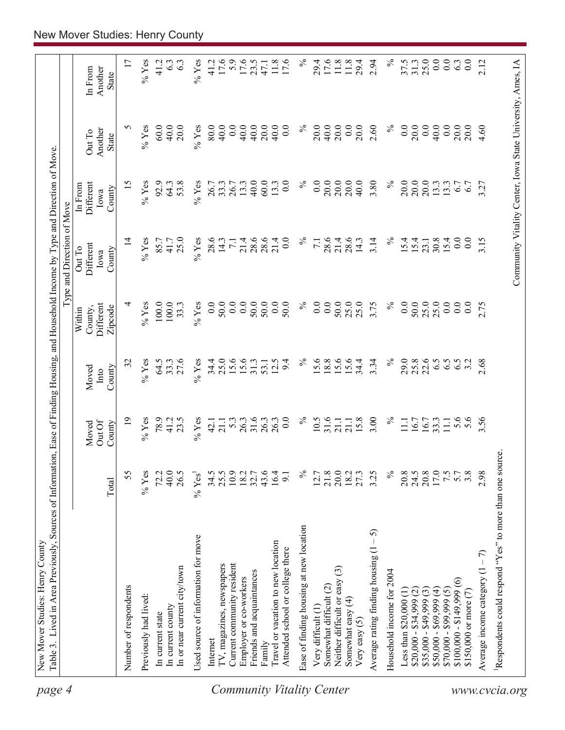| page 4                           | Table 3. Lived in Area Previously, Sources of Information, Ease of Finding Housing, and Household Income by Type and Direction of Move.<br>New Mover Studies: Henry County |                        |                          |               |                                |                                                            |                              |                   |                    |
|----------------------------------|----------------------------------------------------------------------------------------------------------------------------------------------------------------------------|------------------------|--------------------------|---------------|--------------------------------|------------------------------------------------------------|------------------------------|-------------------|--------------------|
|                                  |                                                                                                                                                                            |                        |                          |               |                                | Type and Direction of Move                                 |                              |                   |                    |
|                                  |                                                                                                                                                                            |                        | Out Of<br>Moved          | Moved<br>Into | Different<br>County,<br>Within | Different<br>Out To<br>Iowa                                | Different<br>In From<br>Iowa | Another<br>Out To | Another<br>In From |
|                                  |                                                                                                                                                                            | Total                  | County                   | County        | Zipcode                        | County                                                     | County                       | <b>State</b>      | <b>State</b>       |
|                                  | Number of respondents                                                                                                                                                      | 55                     | $\overline{19}$          | 32            | 4                              | $\overline{4}$                                             | 15                           | 5                 | 17                 |
|                                  | Previously had lived:                                                                                                                                                      | $%$ Yes                | $%$ Yes                  | $%$ Yes       | $\%$ Yes                       | $%$ Yes                                                    | $\%$ Yes                     | $\%$ Yes          | $%$ Yes            |
|                                  | In current state                                                                                                                                                           | 72.2                   | 78.9                     | 64.5          | 100.0                          | 85.7                                                       | 92.9                         | 60.0              | 41.2               |
|                                  | In current county                                                                                                                                                          | 40.0                   | 41.2                     | 33.3          | 100.0                          | 41.7                                                       | 64.3                         | 40.0              | 6.3                |
|                                  | In or near current city/town                                                                                                                                               | 26.5                   | 23.5                     | 27.6          | 33.3                           | 25.0                                                       | 53.8                         | 20.0              | 63                 |
|                                  | Used source of information for move                                                                                                                                        | $\%$ Yes <sup>1</sup>  | $%$ Yes                  | $%$ Yes       | $%$ Yes                        | $%$ Yes                                                    | $%$ Yes                      | $%$ Yes           | $\%$ Yes           |
|                                  | Internet                                                                                                                                                                   | 34.5                   | 42.1                     | 34.4          | 0.0                            | 28.6                                                       | 26.7                         | 80.0              | 41.2               |
|                                  | TV, magazines, newspapers                                                                                                                                                  | 25.5                   | 21.1                     | 25.0          | 50.0                           | 14.3                                                       | 33.3                         | 40.0              | 17.6               |
|                                  | Current community resident                                                                                                                                                 | 10.9                   | 5.3                      | 15.6          | 0.0                            | $\overline{71}$                                            | 26.7                         | 0.0               | 5.9                |
|                                  | Employer or co-workers                                                                                                                                                     | 18.2                   | 26.3                     | 15.6          | $\ddot{0.0}$                   | 21.4                                                       | 13.3                         | 40.0              | 17.6               |
|                                  | Friends and acquaintances                                                                                                                                                  | 32.7                   | 31.6                     |               | 50.0                           | 28.6                                                       | 40.0                         | 40.0              |                    |
|                                  | Family                                                                                                                                                                     | 43.6                   | 26.3                     | 53.1          | 50.0                           | 28.6                                                       | 60.0                         | 20.0              | 47.1               |
| <b>Community Vitality Center</b> | Travel or vacation to new location<br>Attended school or college there                                                                                                     | 16.4<br>$\overline{5}$ | 26.3<br>$\overline{0}$ . | 12.5<br>9.4   | 0.0<br>50.0                    | 21.4<br>0.0                                                | $\overline{0.0}$<br>13.3     | 0.0<br>40.0       | $11.8\,$<br>17.6   |
|                                  | Ease of finding housing at new location                                                                                                                                    | $\%$                   | $\%$                     | $\%$          | $\%$                           | $\%$                                                       | $\%$                         | $\%$              | $\%$               |
|                                  | Very difficult (1)                                                                                                                                                         | 12.7                   | 10.5                     | 15.6          | 0.0                            | $\overline{z}$                                             | 0.0                          | 20.0              | 29.4               |
|                                  | Somewhat difficult (2)                                                                                                                                                     | 21.8                   | 31.6                     | 18.8          | 0.0                            | 28.6                                                       | 20.0                         | 40.0              | 17.6               |
|                                  | Neither difficult or easy (3)                                                                                                                                              | 20.0                   | 21.1                     | 15.6          | 50.0                           | 21.4                                                       | 20.0                         | 20.0              | 11.8               |
|                                  | Somewhat easy (4)                                                                                                                                                          | 18.2                   | 21.1                     | 15.6          | 25.0                           | 28.6                                                       | 20.0                         | 0.0               | 11.8               |
|                                  | Very easy $(5)$                                                                                                                                                            | 27.3                   | 15.8                     | 34.4          | 25.0                           | 14.3                                                       | 40.0                         | 20.0              | 29.4               |
|                                  | 5<br>Average rating finding housing (1                                                                                                                                     | 3.25                   | 3.00                     | 3.34          | 3.75                           | 3.14                                                       | 3.80                         | 2.60              | 2.94               |
|                                  | Household income for 2004                                                                                                                                                  | $\%$                   | $\%$                     | $\%$          | $\%$                           | $\%$                                                       | $\%$                         | $\%$              | $\%$               |
|                                  | Less than $$20,000(1)$                                                                                                                                                     | 20.8                   | $\Xi$                    | 29.0          | $\overline{0}$ .               | 15.4                                                       | 20.0                         | 0.0               | 37.5               |
|                                  | $$20,000 - $34,999 (2)$                                                                                                                                                    | 24.5                   | 16.7                     | 25.8          | 50.0                           | 15.4                                                       | 20.0                         | 20.0              | 31.3               |
|                                  | $$35,000 - $49,999(3)$                                                                                                                                                     | 20.8                   | 16.7                     | 22.6          | 25.0                           | 23.1                                                       | 20.0                         | 0.0               | 25.0               |
|                                  | $$50,000 - $69,999(4)$                                                                                                                                                     | 17.0                   | 33.3                     | 6.5           | 25.0                           | 30.8                                                       | 13.3                         | 40.0              | 0.0                |
|                                  | $$70,000 - $99,999(5)$                                                                                                                                                     | 7.5                    | 11.1                     | 6.5           | 0.0                            | 15.4                                                       | 13.3                         | 0.0               | 0.0                |
|                                  | $\circledcirc$<br>$$100,000 - $149,999$                                                                                                                                    |                        | 5.6                      | 6.5           | 0.0                            | $0.0\,$                                                    | 6.7                          | 20.0              | 6.3                |
|                                  | \$150,000 or more (7)                                                                                                                                                      | 3.8                    | 5.6                      | 3.2           | 0.0                            | 0.0                                                        | 6.7                          | 20.0              | $\overline{0.0}$   |
|                                  | Average income category $(1 - 7)$                                                                                                                                          | 2.98                   | 3.56                     | 2.68          | 2.75                           | 3.15                                                       | 3.27                         | 4.60              | 2.12               |
| www.cvcia.org                    | Respondents could respond "Yes" to more than one source                                                                                                                    |                        |                          |               |                                |                                                            |                              |                   |                    |
|                                  |                                                                                                                                                                            |                        |                          |               |                                | Community Vitality Center, Iowa State University, Ames, IA |                              |                   |                    |
|                                  |                                                                                                                                                                            |                        |                          |               |                                |                                                            |                              |                   |                    |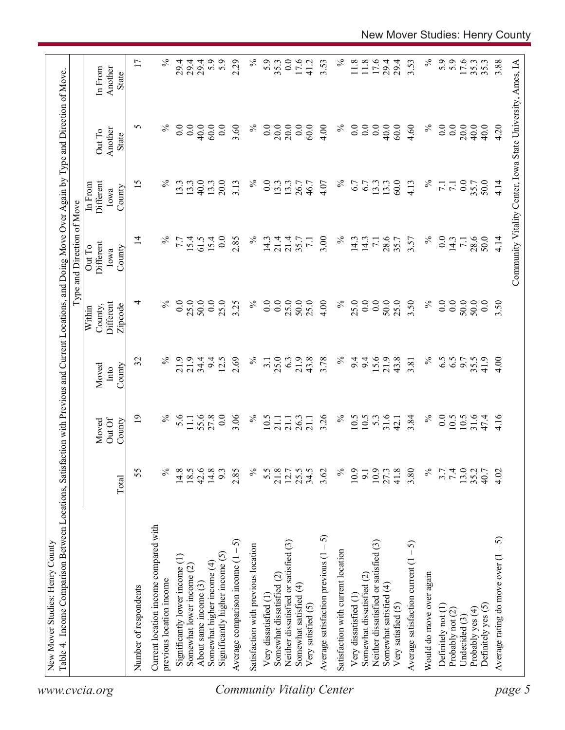|                                  |                                                                   |              |                           |                                         |                                           | Type and Direction of Move            |                                        |                                                            |                             |
|----------------------------------|-------------------------------------------------------------------|--------------|---------------------------|-----------------------------------------|-------------------------------------------|---------------------------------------|----------------------------------------|------------------------------------------------------------|-----------------------------|
|                                  |                                                                   | Total        | Out Of<br>County<br>Moved | County<br>Moved<br>$\sqrt{\frac{1}{2}}$ | Different<br>Zipcode<br>County,<br>Within | Different<br>Out To<br>County<br>Iowa | Different<br>In From<br>County<br>Iowa | Another<br>Out To<br>State                                 | In From<br>Another<br>State |
|                                  | Number of respondents                                             | 55           | 19                        | 32                                      | 4                                         | $\overline{4}$                        | 15                                     | 5                                                          | 17                          |
|                                  | Current location income compared with<br>previous location income | $\%$         | $\%$                      | $\%$                                    | $\%$                                      | $\%$                                  | $\%$                                   |                                                            | $\%$                        |
|                                  | Significantly lower income (1)                                    | 14.8         | 5.6                       | 21.9                                    | 0.0                                       | 7.7                                   | 13.3                                   | 0.0                                                        | 29.4                        |
|                                  | Somewhat lower income (2)                                         | 18.5         | $11.1\,$                  | 21.9                                    | 25.0                                      | 15.4                                  | 13.3                                   | 0.0                                                        | 29.4                        |
|                                  | About same income (3)                                             | 42.6         | 55.6                      | 34.4                                    | 50.0                                      | 61.5                                  | 40.0                                   | 40.0                                                       | 29.4                        |
|                                  | Somewhat higher income (4)                                        | 14.8         | 27.8                      | 9.4                                     | 0.0                                       | 15.4                                  | 13.3                                   | 60.0                                                       | 5.9                         |
| <b>Community Vitality Center</b> | Significantly higher income $(5)$                                 | 9.3          | 0.0                       | 12.5                                    | 25.0                                      | 0.0                                   | 20.0                                   | 0.0                                                        | 5.9                         |
|                                  | Average comparison income $(1 - 5)$                               | 2.85         | 3.06                      | 2.69                                    | 3.25                                      | 2.85                                  | 3.13                                   | 3.60                                                       | 2.29                        |
|                                  | Satisfaction with previous location                               | $\%$         | $\%$                      | $\%$                                    | $\%$                                      | $\%$                                  | $\%$                                   | $\%$                                                       | $\%$                        |
|                                  | Very dissatisfied (1)                                             | 5.5          | 10.5                      | $\overline{3}$ .                        | $\overline{0.0}$                          | 14.3                                  | $\overline{0}$ .                       | 0.0                                                        | 5.9                         |
|                                  | Somewhat dissatisfied (2)                                         | 21.8         | 21.1                      | 25.0                                    | 0.0                                       | 21.4                                  | 13.3                                   | 20.0                                                       | 35.3                        |
|                                  | Neither dissatisfied or satisfied (3)                             | 12.7         | 21.1                      | 6.3                                     | 25.0                                      | 21.4                                  | 13.3                                   | 20.0                                                       | $\overline{0.0}$            |
|                                  | Somewhat satisfied (4)                                            | 25.5         | 26.3                      | 21.9                                    | 50.0                                      | 35.7                                  | 26.7                                   | 0.0                                                        | 17.6                        |
|                                  | Very satisfied (5)                                                | 34.5         | 21.1                      | 43.8                                    | 25.0                                      | $\overline{7.1}$                      | 46.7                                   | 60.0                                                       | 41.2                        |
|                                  | Average satisfaction previous $(1 - 5)$                           | 3.62         | 3.26                      | 3.78                                    | 4.00                                      | 3.00                                  | 4.07                                   | 4.00                                                       | 3.53                        |
|                                  | Satisfaction with current location                                | $\%$         | $\%$                      | $\%$                                    | $\%$                                      | $\%$                                  | $\%$                                   | $\%$                                                       | $\%$                        |
|                                  | Very dissatisfied (1                                              | 10.9         | 10.5                      | 9.4                                     | 25.0                                      | 14.3                                  | 6.7                                    | $\overline{0}$ .                                           | 11.8                        |
|                                  | Somewhat dissatisfied (2)                                         | 9.1          | 10.5                      | 9.4                                     | 0.0                                       | 14.3                                  | 6.7                                    | $\overline{0}$ .                                           | 11.8                        |
|                                  | Neither dissatisfied or satisfied (3)                             | 10.9         | $5.3$<br>31.6             | 15.6                                    | 0.0                                       | $\overline{7.1}$                      | 13.3                                   | $\overline{0.0}$                                           | 17.6                        |
|                                  | Somewhat satisfied (4)<br>Very satisfied (5)                      | 41.8<br>27.3 | 42.1                      | 21.9<br>43.8                            | 50.0<br>25.0                              | 28.6<br>35.7                          | 60.0<br>13.3                           | 40.0<br>60.0                                               | 29.4<br>29.4                |
|                                  | Average satisfaction current $(1 – 5)$                            | 3.80         | 3.84                      | 3.81                                    | 3.50                                      | 3.57                                  | 4.13                                   | 4.60                                                       | 3.53                        |
|                                  | Would do move over again                                          | $\%$         | $\%$                      | $\%$                                    | $\%$                                      | $\%$                                  | $\%$                                   | $\%$                                                       | $\%$                        |
|                                  | Definitely not (1)                                                | 3.7          | $\overline{0.0}$          | 6.5                                     | 0.0                                       | 0.0                                   | $\overline{71}$                        | $\overline{0}$ .                                           | 5.9                         |
|                                  | Probably not (2)                                                  | 7.4          | 10.5                      | 6.5                                     | 0.0                                       | 14.3                                  | 7.1                                    | 0.0                                                        | 5.9                         |
|                                  | Undecided (3)                                                     | 13.0         | 10.5                      | 9.7                                     | 50.0                                      | 7.1                                   | 0.0                                    | 20.0                                                       | 17.6                        |
|                                  | Probably yes (4)                                                  | 35.2         | 31.6                      | 35.5                                    | 50.0                                      | 28.6                                  | 35.7                                   | 40.0                                                       | 35.3                        |
|                                  | Definitely yes (5)                                                | 40.7         | 47.4                      | 41.9                                    | 0.0                                       | 50.0                                  | 50.0                                   | 40.0                                                       | 35.3                        |
|                                  | Average rating do move over $(1 - 5)$                             | 4.02         | 4.16                      | 4.00                                    | 3.50                                      | 4.14                                  | 4.14                                   | 4.20                                                       | 3.88                        |
| page 5                           |                                                                   |              |                           |                                         |                                           |                                       |                                        | Community Vitality Center, Iowa State University, Ames, IA |                             |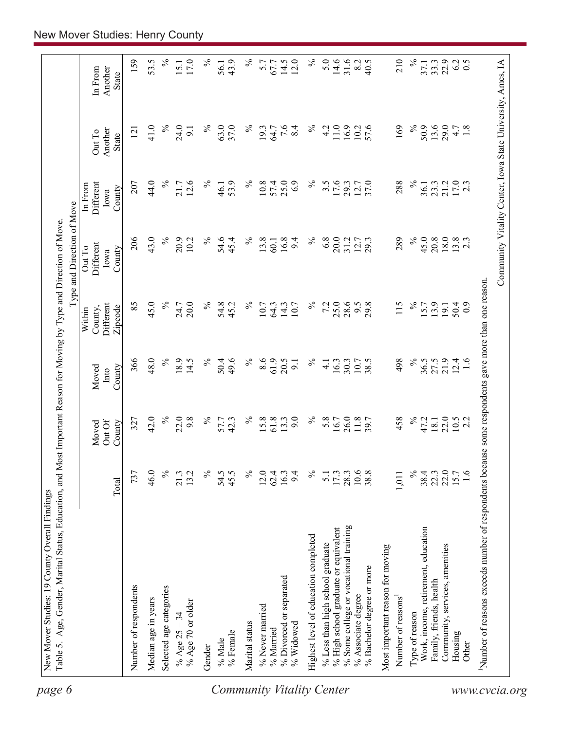| $\%$<br>$\%$<br>5.0<br>14.6<br>31.6<br>210<br>14.5<br>12.0<br>40.5<br>$33.3$<br>$22.9$<br>5.7<br>8.2<br>67.7<br>56.1<br>In From<br><b>State</b><br>$\%$<br>24.0<br>63.0<br>$\%$<br>$7.6$<br>8.4<br>$\%$<br>$11.0$<br>$\%$<br>50.9<br>13.6<br>29.0<br>41.0<br>$\%$<br>37.0<br>4.2<br>16.9<br>57.6<br>169<br>$4.7$<br>$1.8$<br>19.3<br>64.7<br>10.2<br>9.1<br>121<br>Another<br>Out To<br>State<br>$\%$<br>25.0<br>$\%$<br>21.2<br>$17.0$<br>2.3<br>44.0<br>21.7<br>12.6<br>$\%$<br>53.9<br>$\%$<br>10.8<br>57.4<br>6.9<br>$\%$<br>$3.\overline{5}$<br>17.6<br>12.7<br>37.0<br>288<br>23.3<br>207<br>29.3<br>36.1<br>46.1<br>In From<br>Different<br>County<br>Iowa<br>43.0<br>$\frac{5}{6}$<br>206<br>$\%$<br>$\%$<br>6.8<br>$\%$<br>45.0<br>18.0<br>$13.8$<br>2.3<br>20.9<br>$\%$<br>54.6<br>13.8<br>16.8<br>20.0<br>289<br>20.8<br>10.2<br>31.2<br>12.7<br>29.3<br>45.4<br>9.4<br>60.1<br>Different<br>Out To<br>County<br>Iowa<br>use some respondents gave more than one reason.<br>$\%$<br>45.0<br>$\%$<br>25.0<br>85<br>$\%$<br>7.2<br>28.6<br>115<br>$\%$<br>20.0<br>$\%$<br>54.8<br>64.3<br>9.5<br>29.8<br>13.9<br><b>Different</b><br>24.7<br>45.2<br>10.7<br>14.3<br>10.7<br>15.7<br>$50.4$<br>0.9<br>19.1<br>County,<br>Zipcode<br>Within<br>48.0<br>$\%$<br>$\%$<br>366<br>18.9<br>49.6<br>$\%$<br>8.6<br>61.9<br>498<br>21.9<br>14.5<br>$\%$<br>50.4<br>20.5<br>$\%$<br>10.7<br>38.5<br>36.5<br>27.5<br>12.4<br>1.6<br>16.3<br>30.3<br>$\overline{4}$ .<br>$\overline{9}$<br>County<br>Moved<br>Into<br>$\%$<br>$\%$<br>$\%$<br>$\%$<br>22.0<br>42.0<br>22.0<br>9.8<br>$\%$<br>$15.8$<br>61.8<br>9.0<br>5.8<br>26.0<br>458<br>57.7<br>42.3<br>13.3<br>16.7<br>11.8<br>47.2<br>327<br>18.1<br>$10.5$<br>2.2<br>Out Of<br>County<br>Moved<br>Number of reasons exceeds number of respondents beca<br>$\%$<br>℅<br>22.0<br>46.0<br>$\%$<br>54.5<br>$\%$<br>$\%$<br>10.6<br>38.4<br>22.3<br>$\frac{6}{1}$<br>737<br>13.2<br>45.5<br>$12.0$<br>62.4<br>9.4<br>17.3<br>28.3<br>38.8<br>21.3<br>16.3<br>5.1<br>1,011<br>Total<br>% Some college or vocational training<br>% High school graduate or equivalent<br>Work, income, retirement, education<br>Highest level of education completed<br>% Less than high school graduate<br>Community, services, amenities<br>Most important reason for moving<br>% Bachelor degree or more<br>% Divorced or separated<br>Family, friends, health<br>Number of respondents<br>Selected age categories<br>% Associate degree<br>Number of reasons <sup>1</sup><br>Median age in years<br>% Age 70 or older<br>% Never married<br>Type of reason<br>% Age $25 - 34$<br>Marital status<br>% Widowed<br>% Married<br>% Female<br>Housing<br>% Male<br>Other<br>Gender | Community Vitality Center, Iowa State University, Ames, IA |  |  | Type and Direction of Move |  |              |
|-----------------------------------------------------------------------------------------------------------------------------------------------------------------------------------------------------------------------------------------------------------------------------------------------------------------------------------------------------------------------------------------------------------------------------------------------------------------------------------------------------------------------------------------------------------------------------------------------------------------------------------------------------------------------------------------------------------------------------------------------------------------------------------------------------------------------------------------------------------------------------------------------------------------------------------------------------------------------------------------------------------------------------------------------------------------------------------------------------------------------------------------------------------------------------------------------------------------------------------------------------------------------------------------------------------------------------------------------------------------------------------------------------------------------------------------------------------------------------------------------------------------------------------------------------------------------------------------------------------------------------------------------------------------------------------------------------------------------------------------------------------------------------------------------------------------------------------------------------------------------------------------------------------------------------------------------------------------------------------------------------------------------------------------------------------------------------------------------------------------------------------------------------------------------------------------------------------------------------------------------------------------------------------------------------------------------------------------------------------------------------------------------------------------------------------------------------------------------------------------------------------------------------------------------------------------------------------------------------------------------------------------------------------------------------------------------------------------|------------------------------------------------------------|--|--|----------------------------|--|--------------|
|                                                                                                                                                                                                                                                                                                                                                                                                                                                                                                                                                                                                                                                                                                                                                                                                                                                                                                                                                                                                                                                                                                                                                                                                                                                                                                                                                                                                                                                                                                                                                                                                                                                                                                                                                                                                                                                                                                                                                                                                                                                                                                                                                                                                                                                                                                                                                                                                                                                                                                                                                                                                                                                                                                                 |                                                            |  |  |                            |  | Another      |
|                                                                                                                                                                                                                                                                                                                                                                                                                                                                                                                                                                                                                                                                                                                                                                                                                                                                                                                                                                                                                                                                                                                                                                                                                                                                                                                                                                                                                                                                                                                                                                                                                                                                                                                                                                                                                                                                                                                                                                                                                                                                                                                                                                                                                                                                                                                                                                                                                                                                                                                                                                                                                                                                                                                 |                                                            |  |  |                            |  | 159          |
|                                                                                                                                                                                                                                                                                                                                                                                                                                                                                                                                                                                                                                                                                                                                                                                                                                                                                                                                                                                                                                                                                                                                                                                                                                                                                                                                                                                                                                                                                                                                                                                                                                                                                                                                                                                                                                                                                                                                                                                                                                                                                                                                                                                                                                                                                                                                                                                                                                                                                                                                                                                                                                                                                                                 |                                                            |  |  |                            |  | 53.5         |
|                                                                                                                                                                                                                                                                                                                                                                                                                                                                                                                                                                                                                                                                                                                                                                                                                                                                                                                                                                                                                                                                                                                                                                                                                                                                                                                                                                                                                                                                                                                                                                                                                                                                                                                                                                                                                                                                                                                                                                                                                                                                                                                                                                                                                                                                                                                                                                                                                                                                                                                                                                                                                                                                                                                 |                                                            |  |  |                            |  | $\%$         |
|                                                                                                                                                                                                                                                                                                                                                                                                                                                                                                                                                                                                                                                                                                                                                                                                                                                                                                                                                                                                                                                                                                                                                                                                                                                                                                                                                                                                                                                                                                                                                                                                                                                                                                                                                                                                                                                                                                                                                                                                                                                                                                                                                                                                                                                                                                                                                                                                                                                                                                                                                                                                                                                                                                                 |                                                            |  |  |                            |  | 17.0<br>15.1 |
|                                                                                                                                                                                                                                                                                                                                                                                                                                                                                                                                                                                                                                                                                                                                                                                                                                                                                                                                                                                                                                                                                                                                                                                                                                                                                                                                                                                                                                                                                                                                                                                                                                                                                                                                                                                                                                                                                                                                                                                                                                                                                                                                                                                                                                                                                                                                                                                                                                                                                                                                                                                                                                                                                                                 |                                                            |  |  |                            |  | $\%$         |
|                                                                                                                                                                                                                                                                                                                                                                                                                                                                                                                                                                                                                                                                                                                                                                                                                                                                                                                                                                                                                                                                                                                                                                                                                                                                                                                                                                                                                                                                                                                                                                                                                                                                                                                                                                                                                                                                                                                                                                                                                                                                                                                                                                                                                                                                                                                                                                                                                                                                                                                                                                                                                                                                                                                 |                                                            |  |  |                            |  |              |
|                                                                                                                                                                                                                                                                                                                                                                                                                                                                                                                                                                                                                                                                                                                                                                                                                                                                                                                                                                                                                                                                                                                                                                                                                                                                                                                                                                                                                                                                                                                                                                                                                                                                                                                                                                                                                                                                                                                                                                                                                                                                                                                                                                                                                                                                                                                                                                                                                                                                                                                                                                                                                                                                                                                 |                                                            |  |  |                            |  | 43.9         |
|                                                                                                                                                                                                                                                                                                                                                                                                                                                                                                                                                                                                                                                                                                                                                                                                                                                                                                                                                                                                                                                                                                                                                                                                                                                                                                                                                                                                                                                                                                                                                                                                                                                                                                                                                                                                                                                                                                                                                                                                                                                                                                                                                                                                                                                                                                                                                                                                                                                                                                                                                                                                                                                                                                                 |                                                            |  |  |                            |  |              |
|                                                                                                                                                                                                                                                                                                                                                                                                                                                                                                                                                                                                                                                                                                                                                                                                                                                                                                                                                                                                                                                                                                                                                                                                                                                                                                                                                                                                                                                                                                                                                                                                                                                                                                                                                                                                                                                                                                                                                                                                                                                                                                                                                                                                                                                                                                                                                                                                                                                                                                                                                                                                                                                                                                                 |                                                            |  |  |                            |  |              |
|                                                                                                                                                                                                                                                                                                                                                                                                                                                                                                                                                                                                                                                                                                                                                                                                                                                                                                                                                                                                                                                                                                                                                                                                                                                                                                                                                                                                                                                                                                                                                                                                                                                                                                                                                                                                                                                                                                                                                                                                                                                                                                                                                                                                                                                                                                                                                                                                                                                                                                                                                                                                                                                                                                                 |                                                            |  |  |                            |  |              |
|                                                                                                                                                                                                                                                                                                                                                                                                                                                                                                                                                                                                                                                                                                                                                                                                                                                                                                                                                                                                                                                                                                                                                                                                                                                                                                                                                                                                                                                                                                                                                                                                                                                                                                                                                                                                                                                                                                                                                                                                                                                                                                                                                                                                                                                                                                                                                                                                                                                                                                                                                                                                                                                                                                                 |                                                            |  |  |                            |  |              |
|                                                                                                                                                                                                                                                                                                                                                                                                                                                                                                                                                                                                                                                                                                                                                                                                                                                                                                                                                                                                                                                                                                                                                                                                                                                                                                                                                                                                                                                                                                                                                                                                                                                                                                                                                                                                                                                                                                                                                                                                                                                                                                                                                                                                                                                                                                                                                                                                                                                                                                                                                                                                                                                                                                                 |                                                            |  |  |                            |  |              |
|                                                                                                                                                                                                                                                                                                                                                                                                                                                                                                                                                                                                                                                                                                                                                                                                                                                                                                                                                                                                                                                                                                                                                                                                                                                                                                                                                                                                                                                                                                                                                                                                                                                                                                                                                                                                                                                                                                                                                                                                                                                                                                                                                                                                                                                                                                                                                                                                                                                                                                                                                                                                                                                                                                                 |                                                            |  |  |                            |  |              |
|                                                                                                                                                                                                                                                                                                                                                                                                                                                                                                                                                                                                                                                                                                                                                                                                                                                                                                                                                                                                                                                                                                                                                                                                                                                                                                                                                                                                                                                                                                                                                                                                                                                                                                                                                                                                                                                                                                                                                                                                                                                                                                                                                                                                                                                                                                                                                                                                                                                                                                                                                                                                                                                                                                                 |                                                            |  |  |                            |  |              |
|                                                                                                                                                                                                                                                                                                                                                                                                                                                                                                                                                                                                                                                                                                                                                                                                                                                                                                                                                                                                                                                                                                                                                                                                                                                                                                                                                                                                                                                                                                                                                                                                                                                                                                                                                                                                                                                                                                                                                                                                                                                                                                                                                                                                                                                                                                                                                                                                                                                                                                                                                                                                                                                                                                                 |                                                            |  |  |                            |  |              |
|                                                                                                                                                                                                                                                                                                                                                                                                                                                                                                                                                                                                                                                                                                                                                                                                                                                                                                                                                                                                                                                                                                                                                                                                                                                                                                                                                                                                                                                                                                                                                                                                                                                                                                                                                                                                                                                                                                                                                                                                                                                                                                                                                                                                                                                                                                                                                                                                                                                                                                                                                                                                                                                                                                                 |                                                            |  |  |                            |  |              |
|                                                                                                                                                                                                                                                                                                                                                                                                                                                                                                                                                                                                                                                                                                                                                                                                                                                                                                                                                                                                                                                                                                                                                                                                                                                                                                                                                                                                                                                                                                                                                                                                                                                                                                                                                                                                                                                                                                                                                                                                                                                                                                                                                                                                                                                                                                                                                                                                                                                                                                                                                                                                                                                                                                                 |                                                            |  |  |                            |  |              |
|                                                                                                                                                                                                                                                                                                                                                                                                                                                                                                                                                                                                                                                                                                                                                                                                                                                                                                                                                                                                                                                                                                                                                                                                                                                                                                                                                                                                                                                                                                                                                                                                                                                                                                                                                                                                                                                                                                                                                                                                                                                                                                                                                                                                                                                                                                                                                                                                                                                                                                                                                                                                                                                                                                                 |                                                            |  |  |                            |  |              |
|                                                                                                                                                                                                                                                                                                                                                                                                                                                                                                                                                                                                                                                                                                                                                                                                                                                                                                                                                                                                                                                                                                                                                                                                                                                                                                                                                                                                                                                                                                                                                                                                                                                                                                                                                                                                                                                                                                                                                                                                                                                                                                                                                                                                                                                                                                                                                                                                                                                                                                                                                                                                                                                                                                                 |                                                            |  |  |                            |  |              |
|                                                                                                                                                                                                                                                                                                                                                                                                                                                                                                                                                                                                                                                                                                                                                                                                                                                                                                                                                                                                                                                                                                                                                                                                                                                                                                                                                                                                                                                                                                                                                                                                                                                                                                                                                                                                                                                                                                                                                                                                                                                                                                                                                                                                                                                                                                                                                                                                                                                                                                                                                                                                                                                                                                                 |                                                            |  |  |                            |  | $\%$         |
|                                                                                                                                                                                                                                                                                                                                                                                                                                                                                                                                                                                                                                                                                                                                                                                                                                                                                                                                                                                                                                                                                                                                                                                                                                                                                                                                                                                                                                                                                                                                                                                                                                                                                                                                                                                                                                                                                                                                                                                                                                                                                                                                                                                                                                                                                                                                                                                                                                                                                                                                                                                                                                                                                                                 |                                                            |  |  |                            |  | 37.1         |
|                                                                                                                                                                                                                                                                                                                                                                                                                                                                                                                                                                                                                                                                                                                                                                                                                                                                                                                                                                                                                                                                                                                                                                                                                                                                                                                                                                                                                                                                                                                                                                                                                                                                                                                                                                                                                                                                                                                                                                                                                                                                                                                                                                                                                                                                                                                                                                                                                                                                                                                                                                                                                                                                                                                 |                                                            |  |  |                            |  |              |
|                                                                                                                                                                                                                                                                                                                                                                                                                                                                                                                                                                                                                                                                                                                                                                                                                                                                                                                                                                                                                                                                                                                                                                                                                                                                                                                                                                                                                                                                                                                                                                                                                                                                                                                                                                                                                                                                                                                                                                                                                                                                                                                                                                                                                                                                                                                                                                                                                                                                                                                                                                                                                                                                                                                 |                                                            |  |  |                            |  |              |
|                                                                                                                                                                                                                                                                                                                                                                                                                                                                                                                                                                                                                                                                                                                                                                                                                                                                                                                                                                                                                                                                                                                                                                                                                                                                                                                                                                                                                                                                                                                                                                                                                                                                                                                                                                                                                                                                                                                                                                                                                                                                                                                                                                                                                                                                                                                                                                                                                                                                                                                                                                                                                                                                                                                 |                                                            |  |  |                            |  | 6.2          |
|                                                                                                                                                                                                                                                                                                                                                                                                                                                                                                                                                                                                                                                                                                                                                                                                                                                                                                                                                                                                                                                                                                                                                                                                                                                                                                                                                                                                                                                                                                                                                                                                                                                                                                                                                                                                                                                                                                                                                                                                                                                                                                                                                                                                                                                                                                                                                                                                                                                                                                                                                                                                                                                                                                                 |                                                            |  |  |                            |  | 0.5          |
|                                                                                                                                                                                                                                                                                                                                                                                                                                                                                                                                                                                                                                                                                                                                                                                                                                                                                                                                                                                                                                                                                                                                                                                                                                                                                                                                                                                                                                                                                                                                                                                                                                                                                                                                                                                                                                                                                                                                                                                                                                                                                                                                                                                                                                                                                                                                                                                                                                                                                                                                                                                                                                                                                                                 |                                                            |  |  |                            |  |              |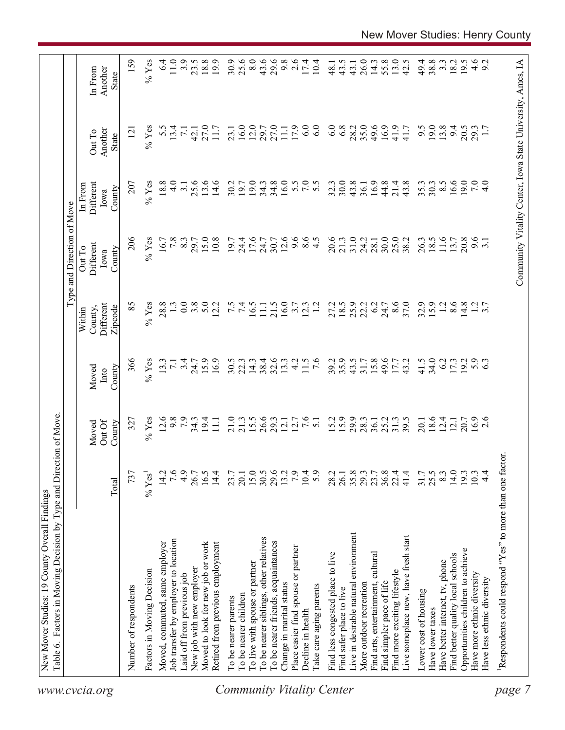|                                  | Table 6. Factors in Moving Decision by Type and Direction of Move. |                  |                           |                         |                                           | Type and Direction of Move            |                                        |                                                            |                                    |
|----------------------------------|--------------------------------------------------------------------|------------------|---------------------------|-------------------------|-------------------------------------------|---------------------------------------|----------------------------------------|------------------------------------------------------------|------------------------------------|
| www.cvcia.org                    |                                                                    | Total            | Out Of<br>County<br>Moved | County<br>Moved<br>Into | Different<br>Zipcode<br>County,<br>Within | Different<br>Out To<br>County<br>Iowa | Different<br>In From<br>County<br>Iowa | Another<br>Out To<br>State                                 | Another<br>In From<br><b>State</b> |
|                                  | Number of respondents                                              | 737              | 327                       | 366                     | 85                                        | 206                                   | 207                                    | $\overline{2}$                                             | 159                                |
|                                  | Factors in Moving Decision                                         | $\%$ Yes         | $%$ Yes                   | $%$ Yes                 | $%$ Yes                                   | $%$ Yes                               | $%$ Yes                                | $%$ Yes                                                    | $%$ Yes                            |
|                                  | Moved, commuted, same employer                                     | 14.2             | 12.6                      | 13.3                    | 28.8                                      | 16.7                                  | 18.8                                   | 5.5                                                        | 6.4                                |
|                                  | Job transfer by employer to location                               | 7.6              | 9.8                       | $\overline{7.1}$        |                                           | 7.8                                   | $\frac{0}{4}$                          | 13.4                                                       | 11.0                               |
|                                  | Laid off from previous job                                         | 4.9              | 7.9                       | 3.4                     | 0.0                                       | 8.3                                   | 3.1                                    | $\overline{71}$                                            | 3.9                                |
|                                  | New job with new employer                                          | 26.7             | $34.3$<br>19.4            | 24.7                    | 3.8                                       | 29.7                                  | 25.6                                   | 42.1                                                       | 23.5                               |
|                                  | Moved to look for new job or work                                  | 16.5             |                           | 15.9                    | 5.0                                       | 15.0                                  | 13.6                                   | 27.0                                                       | 18.8                               |
|                                  | Retired from previous employment                                   | 14.4             | $\Xi$                     | 16.9                    | 12.2                                      | 10.8                                  | 14.6                                   | 11.7                                                       | 19.9                               |
|                                  | To be nearer parents                                               | 23.7             | 21.0                      | 30.5                    |                                           | 19.7                                  | 30.2                                   | 23.1                                                       | 30.9                               |
|                                  | To be nearer children                                              | 20.1             | 21.3                      | 22.3                    | $7.\overline{5}$                          | 24.4                                  | 19.7                                   | 16.0                                                       | 25.6                               |
|                                  | To live with spouse or partner                                     |                  | 15.5                      | 14.3                    | 16.5                                      | 17.6                                  | 19.0                                   | 12.0                                                       | 8.0                                |
|                                  | To be nearer siblings, other relatives                             | $15.0$<br>$30.5$ | 26.6                      | 38.4                    | $\Xi$                                     | 24.7                                  | 34.3                                   | 29.7                                                       | 43.6                               |
|                                  | To be nearer friends, acquaintances                                | 29.6             | 29.3                      | 32.6                    | 21.5                                      | 30.7                                  | 34.8                                   | 27.0                                                       | 29.6                               |
|                                  | Change in marital status                                           | 13.2             | 12.1                      | 13.3                    | 16.0                                      | 12.6                                  | 16.0                                   | $\overline{111}$                                           | 9.8                                |
|                                  | Place easier find spouse or partner                                | 7.9              | 12.7                      | $\frac{1}{4}$           | 3.7                                       | 9.6                                   |                                        | 17.9                                                       | 2.6                                |
|                                  | Decline in health                                                  | 10.4             | 7.6                       | 11.5                    | 12.3                                      | $\frac{6}{4}$ .5                      | 5.0000                                 | 6.0                                                        | 17.4                               |
| <b>Community Vitality Center</b> | Take care aging parents                                            | 5.9              | $\overline{51}$           | $\overline{7.6}$        | $\overline{12}$                           |                                       |                                        | 6.0                                                        | 10.4                               |
|                                  | Find less congested place to live                                  | 28.2             | 15.2                      | 39.2                    | 27.2                                      | 20.6                                  | 32.3                                   | 6.0                                                        | 48.1                               |
|                                  | Find safer place to live                                           | 26.1             | 15.9                      | 35.9                    | 18.5                                      | 21.3                                  | 30.0                                   | 6.8                                                        | 43.5                               |
|                                  | Live in desirable natural environment                              | 35.8             | 29.9                      | 43.5                    | 25.9                                      | 31.0                                  | 43.8                                   | 28.2                                                       | 43.1                               |
|                                  | More outdoor recreation                                            | 29.3             | 28.3                      | 31.7                    | 22.2                                      | 24.2                                  | 36.1                                   | 35.0                                                       | 26.0                               |
|                                  | Find arts, entertainment, cultural                                 | 23.7             | 36.1                      | 15.8                    | 6.2                                       | 28.1                                  | 16.9                                   | 49.6                                                       | 14.3                               |
|                                  | Find simpler pace of life                                          | $36.8$<br>$22.4$ | 25.2                      | 49.6                    | 24.7                                      | 30.0                                  | 44.8                                   | 16.9                                                       | 55.8                               |
|                                  | Find more exciting lifestyle                                       |                  | 31.3                      | 17.7                    | 8.6                                       | 25.0                                  | 21.4                                   | 41.9                                                       | 13.0                               |
|                                  | Live someplace new, have fresh start                               | 41.4             | 39.5                      | 43.2                    | 37.0                                      | 38.2                                  | 43.8                                   | 41.7                                                       | 42.5                               |
|                                  | Lower cost of housing                                              | 31.7             | 20.1                      | 41.5                    | 32.9                                      | 26.3                                  | 35.3                                   | 9.5                                                        | 49.4                               |
|                                  | Have lower taxes                                                   | 25.5             | 18.6                      | 34.0                    | 15.9                                      | 18.5                                  | 30.3                                   | 19.0                                                       | 38.8                               |
|                                  | Have better internet, tv, phone                                    | 8.3              | 12.4                      | 6.2                     | 1.2                                       | 11.6                                  | $8.\overline{5}$                       | 13.8                                                       | $3.\overline{3}$                   |
|                                  | Find better quality local schools                                  | 14.0             | 12.1                      | 17.3                    | 8.6                                       | 13.7                                  | 16.6                                   | 94                                                         | 18.2                               |
|                                  | Opportunities children to achieve                                  | 193              | 20.7                      | 19.2                    | 14.8                                      | 20.8                                  | 19.0                                   | 20.5                                                       | 19.5                               |
|                                  | Have more ethnic diversity                                         | 10.3             | $16.9$<br>2.6             | 5.9                     |                                           | 9.6                                   | 7.0                                    | 29.3                                                       |                                    |
|                                  | Have less ethnic diversity                                         | $\frac{4}{4}$    |                           |                         | $\frac{1}{3}$ .7                          |                                       | $\frac{1}{4}$                          |                                                            | $4.6$<br>9.2                       |
| page                             | Respondents could respond "Yes" to more than one factor            |                  |                           |                         |                                           |                                       |                                        |                                                            |                                    |
|                                  |                                                                    |                  |                           |                         |                                           |                                       |                                        |                                                            |                                    |
|                                  |                                                                    |                  |                           |                         |                                           |                                       |                                        | Community Vitality Center, Iowa State University, Ames, IA |                                    |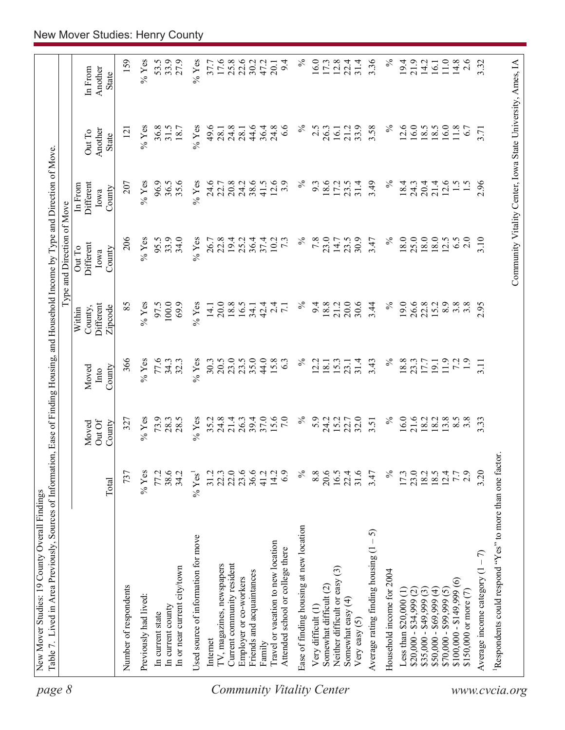| page 8                           |                                                         |                                      |                          |                         |                                | Type and Direction of Move            |                                                            |                            |                                    |
|----------------------------------|---------------------------------------------------------|--------------------------------------|--------------------------|-------------------------|--------------------------------|---------------------------------------|------------------------------------------------------------|----------------------------|------------------------------------|
|                                  |                                                         | Total                                | OutOf<br>County<br>Moved | County<br>Moved<br>Into | Different<br>County,<br>Within | Different<br>Out To<br>County<br>Iowa | Different<br>In From<br>County<br>Iowa                     | Another<br>Out To<br>State | In From<br>Another<br><b>State</b> |
|                                  |                                                         |                                      |                          |                         | Zipcode                        |                                       |                                                            |                            |                                    |
|                                  | Number of respondents                                   | 737                                  | 327                      | 366                     | 85                             | 206                                   | 207                                                        | $\overline{2}$             | 159                                |
|                                  | Previously had lived:                                   | $%$ Yes                              | $\%$ Yes                 | $%$ Yes                 | $\%$ Yes                       | $%$ Yes                               | $%$ Yes                                                    | $\%$ Yes                   | % $Y$ es                           |
|                                  | In current state                                        | 77.2                                 | 73.9                     | 77.6                    | 97.5                           | 95.5                                  | 96.9                                                       | 36.8                       | 53.5                               |
|                                  | In current county                                       | 38.6                                 | 28.3                     | 34.3                    | 100.0                          | 33.9                                  | 36.5                                                       | 31.5                       | 33.9                               |
|                                  | In or near current city/town                            | 34.2                                 | 28.5                     | 32.3                    | 69.9                           | 34.0                                  | 35.6                                                       | 18.7                       | 27.9                               |
|                                  | Used source of information for move                     | $\%$ Yes <sup>1</sup>                | $\%$ Yes                 | $%$ Yes                 | $\%$ Yes                       | $%$ Yes                               | $\%$ Yes                                                   | $%$ Yes                    | $\%$ Yes                           |
|                                  | Internet                                                | 31.2                                 | 35.2                     | 30.3                    | 14.1                           | 26.7                                  | 24.6                                                       | 49.6                       | 37.7                               |
|                                  | TV, magazines, newspapers                               | 22.3                                 | 24.8                     | 20.5                    | 20.0                           | 22.8                                  | 22.7                                                       | 28.1                       | 17.6                               |
|                                  | Current community resident                              | 22.0                                 | 21.4                     | 23.0                    | 18.8                           | 19.4                                  | 20.8                                                       | 24.8                       |                                    |
|                                  | Employer or co-workers                                  | 23.6                                 | 26.3                     | 23.5                    | 16.5                           | 25.2                                  | 24.2                                                       | 28.1                       | $25.8$<br>$22.6$                   |
|                                  | Friends and acquaintances                               | 36.6                                 | 39.4                     | 35.0                    | 34.1                           | 36.4                                  | 38.6                                                       | 44.6                       | 30.2                               |
|                                  | Family                                                  | 41.2                                 | 37.0                     | 44.0                    | 42.4                           | 37.4                                  | 41.5                                                       | 36.4                       | 47.2                               |
|                                  | Travel or vacation to new location                      | 14.2                                 | 15.6                     | 15.8                    | $\overline{a}$                 | 10.2                                  | 12.6                                                       | 24.8                       | 20.1                               |
|                                  | Attended school or college there                        | 6.9                                  | $\overline{7.0}$         | 63                      |                                | $7\cdot3$                             | 3.9                                                        | 6.6                        | 9.4                                |
| <b>Community Vitality Center</b> | Ease of finding housing at new location                 | $\%$                                 | $\%$                     | $\%$                    | $\%$                           | $\%$                                  | $\%$                                                       | న                          | $\%$                               |
|                                  | Very difficult (1)                                      | 8.8                                  | 5.9                      | 12.2                    | 9.4                            | 7.8                                   | 9.3                                                        | 2.5                        | 16.0                               |
|                                  | Somewhat difficult (2)                                  | 20.6                                 | 24.2                     | 18.1                    | 18.8                           | 23.0                                  | 18.6                                                       | 26.3                       | 17.3                               |
|                                  | $\widehat{\mathbb{G}}$<br>Neither difficult or easy     | 16.5                                 | 15.2                     | 15.3                    | 21.2                           | 14.7                                  | 172                                                        | 16.1                       | 12.8                               |
|                                  | Somewhat easy (4)<br>Very easy $(5)$                    | 22.4<br>31.6                         | 22.7<br>32.0             | 31.4<br>23.1            | 30.6<br>20.0                   | 30.9<br>23.5                          | 31.4<br>23.5                                               | 33.9<br>21.2               | 22.4<br>31.4                       |
|                                  | $-5$<br>Average rating finding housing (1               | 3.47                                 | 3.51                     | 3.43                    | 3.44                           | 3.47                                  | 3.49                                                       | 3.58                       | 3.36                               |
|                                  | Household income for 2004                               | $\%$                                 | $\%$                     | $\%$                    | $\%$                           | $\%$                                  | $\%$                                                       | $\%$                       | $\%$                               |
|                                  | Less than \$20,000 (1)                                  | 17.3                                 | 16.0                     | 18.8                    | 19.0                           | 18.0                                  | 18.4                                                       | 12.6                       | 19.4                               |
|                                  | $$20,000 - $34,999$ (2)                                 |                                      |                          | 23.3                    |                                | 25.0                                  | 24.3                                                       | 16.0                       | 21.9                               |
|                                  | $$35,000 - $49,999(3)$                                  | $23.0$<br>$18.0$<br>$19.4$<br>$12.4$ | 21.6<br>18.2             | 17.7                    | 26.6<br>22.8                   | 18.0                                  | 20.4                                                       | 18.5                       | 14.2                               |
|                                  | $$50,000 - $69,999 (4)$                                 |                                      | 18.2                     | 19.1                    | 15.2                           | 18.0                                  | 21.4                                                       | 8.5                        | <b>16.1</b>                        |
|                                  | $$70,000 - $99,999(5)$                                  |                                      | 13.8                     | 11.9                    | 8.9                            | 12.5                                  | 12.6                                                       | 6.0                        | 11.0                               |
|                                  | $\widehat{\circ}$<br>$$100,000 - $149,999$              | 7.7                                  | 8.5                      | 72                      | $3.\overline{8}$               | 6.5                                   | $\frac{1}{5}$                                              | 11.8                       | 14.8                               |
|                                  | \$150,000 or more $(7)$                                 | 2.9                                  | $3.\overline{8}$         | $\overline{1.9}$        | 3.8                            | 2.0                                   |                                                            | 6.7                        | 2.6                                |
|                                  | Average income category $(1 - 7)$                       | 3.20                                 | 3.33                     | 3.11                    | 2.95                           | 3.10                                  | 2.96                                                       | 3.71                       | 3.32                               |
| www.cvcia.org                    | Respondents could respond "Yes" to more than one factor |                                      |                          |                         |                                |                                       |                                                            |                            |                                    |
|                                  |                                                         |                                      |                          |                         |                                |                                       | Community Vitality Center, Iowa State University, Ames, IA |                            |                                    |
|                                  |                                                         |                                      |                          |                         |                                |                                       |                                                            |                            |                                    |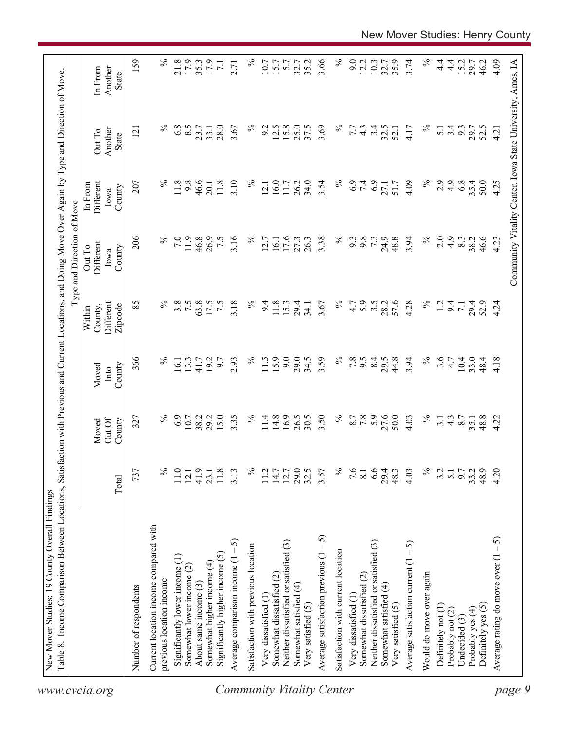| 159<br>3.66<br>$\%$<br>$\%$<br>$\%$<br>21.8<br>17.9<br>$\%$<br>9.0<br>3.74<br>$4\frac{4}{1}$<br>4.09<br>17.9<br>35.2<br>12.2<br>10.3<br>35.9<br>$\frac{4}{1}$<br>15.2<br>Community Vitality Center, Iowa State University, Ames, IA<br>35.3<br>10.7<br>15.7<br>5.7<br>32.7<br>32.7<br>29.7<br>46.2<br>$\overline{7.1}$<br>2.71<br>Another<br>In From<br>State<br>$\%$<br>$\%$<br>$\%$<br>6.8<br>8.5<br>28.0<br>$\%$<br>12.5<br>15.8<br>25.0<br>37.5<br>3.69<br>3.4<br>3.67<br>9.2<br>32.5<br>3.4<br>9.3<br>7.7<br>$4\degree$<br>4.17<br>$\overline{5.1}$<br>29.7<br>52.5<br>23.7<br>33.1<br>52.1<br>4.21<br>Another<br>$\overline{2}$<br>Out To<br>State<br>$\%$<br>$\%$<br>11.8<br>9.8<br>46.6<br>3.10<br>16.0<br>34.0<br>$\%$<br>6.9<br>7.4<br>6.9<br>2.9<br>4.9<br>6.8<br>35.4<br>50.0<br>207<br>11.8<br>$\%$<br>26.2<br>3.54<br>4.09<br>4.25<br>Different<br>11.7<br>51.7<br>27.1<br>20.1<br>12.1<br>In From<br>County<br>Iowa<br>206<br>$\%$<br>$\%$<br>$\%$<br>7.0<br>11.9<br>46.8<br>3.16<br>$\%$<br>3.38<br>9.8<br>73<br>24.9<br>48.8<br>3.94<br>2.0<br>$\ddot{4}$ .<br>26.9<br>7.5<br>17.6<br>27.3<br>26.3<br>9.3<br>8.3<br>38.2<br>46.6<br>4.23<br>12.7<br>16.1<br>Different<br>Out To<br>County<br>Iowa<br>$\%$<br>$\%$<br>5.9<br>57.6<br>$\%$<br>85<br>3.8<br>7.5<br>63.8<br>3.18<br>$\%$<br>3.5<br>4.28<br>Different<br>17.5<br>7.5<br>9.4<br>11.8<br>15.3<br>3.67<br>4.7<br>28.2<br>1.2<br>9.4<br>29.4<br>29.4<br>52.9<br>4.24<br>34.1<br>$\overline{7}$ .<br>County,<br>Zipcode<br>Within<br>15.9<br>9.0<br>3.59<br>$\%$<br>$\%$<br>3.6<br>366<br>$\%$<br>$\%$<br>29.0<br>34.5<br>7.8<br>8.4<br>44.8<br>3.94<br>$10.4\,$<br>33.0<br>2.93<br>11.5<br>6.6<br>29.5<br>4.18<br>13.3<br>192<br>6.7<br>4.7<br>48.4<br>16.1<br>41.7<br>County<br>Moved<br>Into<br>6.9<br>15.0<br>16.9<br>26.5<br>$\%$<br>7.8<br>27.6<br>50.0<br>$\%$<br>$\%$<br>29.2<br>3.35<br>$\%$<br>14.8<br>30.5<br>3.50<br>8.7<br>48.8<br>10.7<br>38.2<br>11.4<br>$\frac{4.3}{8.7}$<br>4.22<br>327<br>4.03<br>3.1<br>35.1<br>Out Of<br>County<br>Moved<br>$\%$<br>29.0<br>$\%$<br>6.6<br>$\%$<br>4.20<br>737<br>℅<br>41.9<br>32.5<br>7.6<br>4.03<br>9.7<br>48.9<br>11.0<br>$11.8$<br>3.13<br>11.2<br>$14.7$<br>12.7<br>3.57<br>29.4<br>48.3<br>3.2<br>33.2<br>$\overline{5.1}$<br>12.1<br>23.1<br>$\overline{8.1}$<br>Total<br>Current location income compared with<br>Average satisfaction previous $(1 - 5)$<br>Average rating do move over $(1 - 5)$<br>5<br>Neither dissatisfied or satisfied (3)<br>Neither dissatisfied or satisfied (3)<br>Average satisfaction current $(1 - 5)$<br>Satisfaction with previous location<br>Satisfaction with current location<br>Significantly higher income (5)<br>Significantly lower income (1)<br>Average comparison income (1<br>Somewhat higher income (4)<br>Somewhat lower income (2)<br>Would do move over again<br>Somewhat dissatisfied (2)<br>Somewhat dissatisfied (2)<br>previous location income<br>About same income (3)<br>Somewhat satisfied (4)<br>Somewhat satisfied (4)<br>Number of respondents<br>Very dissatisfied (1<br>Very dissatisfied (1<br>Very satisfied (5)<br>Very satisfied (5)<br>Definitely yes (5)<br>Definitely not (1)<br>Probably yes (4)<br>Probably not (2)<br>Undecided (3)<br>www.cvcia.org | Table 8. Income Comparison Between Locations, | Satisfa |  | action with Previous and Current Locations, and Doing Move Over Again by Type and Direction of Move<br>Type and Direction of Move |  |  |
|---------------------------------------------------------------------------------------------------------------------------------------------------------------------------------------------------------------------------------------------------------------------------------------------------------------------------------------------------------------------------------------------------------------------------------------------------------------------------------------------------------------------------------------------------------------------------------------------------------------------------------------------------------------------------------------------------------------------------------------------------------------------------------------------------------------------------------------------------------------------------------------------------------------------------------------------------------------------------------------------------------------------------------------------------------------------------------------------------------------------------------------------------------------------------------------------------------------------------------------------------------------------------------------------------------------------------------------------------------------------------------------------------------------------------------------------------------------------------------------------------------------------------------------------------------------------------------------------------------------------------------------------------------------------------------------------------------------------------------------------------------------------------------------------------------------------------------------------------------------------------------------------------------------------------------------------------------------------------------------------------------------------------------------------------------------------------------------------------------------------------------------------------------------------------------------------------------------------------------------------------------------------------------------------------------------------------------------------------------------------------------------------------------------------------------------------------------------------------------------------------------------------------------------------------------------------------------------------------------------------------------------------------------------------------------------------------------------------------------------------------------------------------------------------------------------------------------------------------------------------------------------------------------------------------------------------------------------------------------------------------------------------------------------------------------------------------------------------------------------------------------------------------------------------------------------------------------------------------------------------------------------|-----------------------------------------------|---------|--|-----------------------------------------------------------------------------------------------------------------------------------|--|--|
|                                                                                                                                                                                                                                                                                                                                                                                                                                                                                                                                                                                                                                                                                                                                                                                                                                                                                                                                                                                                                                                                                                                                                                                                                                                                                                                                                                                                                                                                                                                                                                                                                                                                                                                                                                                                                                                                                                                                                                                                                                                                                                                                                                                                                                                                                                                                                                                                                                                                                                                                                                                                                                                                                                                                                                                                                                                                                                                                                                                                                                                                                                                                                                                                                                                               |                                               |         |  |                                                                                                                                   |  |  |
|                                                                                                                                                                                                                                                                                                                                                                                                                                                                                                                                                                                                                                                                                                                                                                                                                                                                                                                                                                                                                                                                                                                                                                                                                                                                                                                                                                                                                                                                                                                                                                                                                                                                                                                                                                                                                                                                                                                                                                                                                                                                                                                                                                                                                                                                                                                                                                                                                                                                                                                                                                                                                                                                                                                                                                                                                                                                                                                                                                                                                                                                                                                                                                                                                                                               |                                               |         |  |                                                                                                                                   |  |  |
| page 9<br><b>Community Vitality Center</b>                                                                                                                                                                                                                                                                                                                                                                                                                                                                                                                                                                                                                                                                                                                                                                                                                                                                                                                                                                                                                                                                                                                                                                                                                                                                                                                                                                                                                                                                                                                                                                                                                                                                                                                                                                                                                                                                                                                                                                                                                                                                                                                                                                                                                                                                                                                                                                                                                                                                                                                                                                                                                                                                                                                                                                                                                                                                                                                                                                                                                                                                                                                                                                                                                    |                                               |         |  |                                                                                                                                   |  |  |
|                                                                                                                                                                                                                                                                                                                                                                                                                                                                                                                                                                                                                                                                                                                                                                                                                                                                                                                                                                                                                                                                                                                                                                                                                                                                                                                                                                                                                                                                                                                                                                                                                                                                                                                                                                                                                                                                                                                                                                                                                                                                                                                                                                                                                                                                                                                                                                                                                                                                                                                                                                                                                                                                                                                                                                                                                                                                                                                                                                                                                                                                                                                                                                                                                                                               |                                               |         |  |                                                                                                                                   |  |  |
|                                                                                                                                                                                                                                                                                                                                                                                                                                                                                                                                                                                                                                                                                                                                                                                                                                                                                                                                                                                                                                                                                                                                                                                                                                                                                                                                                                                                                                                                                                                                                                                                                                                                                                                                                                                                                                                                                                                                                                                                                                                                                                                                                                                                                                                                                                                                                                                                                                                                                                                                                                                                                                                                                                                                                                                                                                                                                                                                                                                                                                                                                                                                                                                                                                                               |                                               |         |  |                                                                                                                                   |  |  |
|                                                                                                                                                                                                                                                                                                                                                                                                                                                                                                                                                                                                                                                                                                                                                                                                                                                                                                                                                                                                                                                                                                                                                                                                                                                                                                                                                                                                                                                                                                                                                                                                                                                                                                                                                                                                                                                                                                                                                                                                                                                                                                                                                                                                                                                                                                                                                                                                                                                                                                                                                                                                                                                                                                                                                                                                                                                                                                                                                                                                                                                                                                                                                                                                                                                               |                                               |         |  |                                                                                                                                   |  |  |
|                                                                                                                                                                                                                                                                                                                                                                                                                                                                                                                                                                                                                                                                                                                                                                                                                                                                                                                                                                                                                                                                                                                                                                                                                                                                                                                                                                                                                                                                                                                                                                                                                                                                                                                                                                                                                                                                                                                                                                                                                                                                                                                                                                                                                                                                                                                                                                                                                                                                                                                                                                                                                                                                                                                                                                                                                                                                                                                                                                                                                                                                                                                                                                                                                                                               |                                               |         |  |                                                                                                                                   |  |  |
|                                                                                                                                                                                                                                                                                                                                                                                                                                                                                                                                                                                                                                                                                                                                                                                                                                                                                                                                                                                                                                                                                                                                                                                                                                                                                                                                                                                                                                                                                                                                                                                                                                                                                                                                                                                                                                                                                                                                                                                                                                                                                                                                                                                                                                                                                                                                                                                                                                                                                                                                                                                                                                                                                                                                                                                                                                                                                                                                                                                                                                                                                                                                                                                                                                                               |                                               |         |  |                                                                                                                                   |  |  |
|                                                                                                                                                                                                                                                                                                                                                                                                                                                                                                                                                                                                                                                                                                                                                                                                                                                                                                                                                                                                                                                                                                                                                                                                                                                                                                                                                                                                                                                                                                                                                                                                                                                                                                                                                                                                                                                                                                                                                                                                                                                                                                                                                                                                                                                                                                                                                                                                                                                                                                                                                                                                                                                                                                                                                                                                                                                                                                                                                                                                                                                                                                                                                                                                                                                               |                                               |         |  |                                                                                                                                   |  |  |
|                                                                                                                                                                                                                                                                                                                                                                                                                                                                                                                                                                                                                                                                                                                                                                                                                                                                                                                                                                                                                                                                                                                                                                                                                                                                                                                                                                                                                                                                                                                                                                                                                                                                                                                                                                                                                                                                                                                                                                                                                                                                                                                                                                                                                                                                                                                                                                                                                                                                                                                                                                                                                                                                                                                                                                                                                                                                                                                                                                                                                                                                                                                                                                                                                                                               |                                               |         |  |                                                                                                                                   |  |  |
|                                                                                                                                                                                                                                                                                                                                                                                                                                                                                                                                                                                                                                                                                                                                                                                                                                                                                                                                                                                                                                                                                                                                                                                                                                                                                                                                                                                                                                                                                                                                                                                                                                                                                                                                                                                                                                                                                                                                                                                                                                                                                                                                                                                                                                                                                                                                                                                                                                                                                                                                                                                                                                                                                                                                                                                                                                                                                                                                                                                                                                                                                                                                                                                                                                                               |                                               |         |  |                                                                                                                                   |  |  |
|                                                                                                                                                                                                                                                                                                                                                                                                                                                                                                                                                                                                                                                                                                                                                                                                                                                                                                                                                                                                                                                                                                                                                                                                                                                                                                                                                                                                                                                                                                                                                                                                                                                                                                                                                                                                                                                                                                                                                                                                                                                                                                                                                                                                                                                                                                                                                                                                                                                                                                                                                                                                                                                                                                                                                                                                                                                                                                                                                                                                                                                                                                                                                                                                                                                               |                                               |         |  |                                                                                                                                   |  |  |
|                                                                                                                                                                                                                                                                                                                                                                                                                                                                                                                                                                                                                                                                                                                                                                                                                                                                                                                                                                                                                                                                                                                                                                                                                                                                                                                                                                                                                                                                                                                                                                                                                                                                                                                                                                                                                                                                                                                                                                                                                                                                                                                                                                                                                                                                                                                                                                                                                                                                                                                                                                                                                                                                                                                                                                                                                                                                                                                                                                                                                                                                                                                                                                                                                                                               |                                               |         |  |                                                                                                                                   |  |  |
|                                                                                                                                                                                                                                                                                                                                                                                                                                                                                                                                                                                                                                                                                                                                                                                                                                                                                                                                                                                                                                                                                                                                                                                                                                                                                                                                                                                                                                                                                                                                                                                                                                                                                                                                                                                                                                                                                                                                                                                                                                                                                                                                                                                                                                                                                                                                                                                                                                                                                                                                                                                                                                                                                                                                                                                                                                                                                                                                                                                                                                                                                                                                                                                                                                                               |                                               |         |  |                                                                                                                                   |  |  |
|                                                                                                                                                                                                                                                                                                                                                                                                                                                                                                                                                                                                                                                                                                                                                                                                                                                                                                                                                                                                                                                                                                                                                                                                                                                                                                                                                                                                                                                                                                                                                                                                                                                                                                                                                                                                                                                                                                                                                                                                                                                                                                                                                                                                                                                                                                                                                                                                                                                                                                                                                                                                                                                                                                                                                                                                                                                                                                                                                                                                                                                                                                                                                                                                                                                               |                                               |         |  |                                                                                                                                   |  |  |
|                                                                                                                                                                                                                                                                                                                                                                                                                                                                                                                                                                                                                                                                                                                                                                                                                                                                                                                                                                                                                                                                                                                                                                                                                                                                                                                                                                                                                                                                                                                                                                                                                                                                                                                                                                                                                                                                                                                                                                                                                                                                                                                                                                                                                                                                                                                                                                                                                                                                                                                                                                                                                                                                                                                                                                                                                                                                                                                                                                                                                                                                                                                                                                                                                                                               |                                               |         |  |                                                                                                                                   |  |  |
|                                                                                                                                                                                                                                                                                                                                                                                                                                                                                                                                                                                                                                                                                                                                                                                                                                                                                                                                                                                                                                                                                                                                                                                                                                                                                                                                                                                                                                                                                                                                                                                                                                                                                                                                                                                                                                                                                                                                                                                                                                                                                                                                                                                                                                                                                                                                                                                                                                                                                                                                                                                                                                                                                                                                                                                                                                                                                                                                                                                                                                                                                                                                                                                                                                                               |                                               |         |  |                                                                                                                                   |  |  |
|                                                                                                                                                                                                                                                                                                                                                                                                                                                                                                                                                                                                                                                                                                                                                                                                                                                                                                                                                                                                                                                                                                                                                                                                                                                                                                                                                                                                                                                                                                                                                                                                                                                                                                                                                                                                                                                                                                                                                                                                                                                                                                                                                                                                                                                                                                                                                                                                                                                                                                                                                                                                                                                                                                                                                                                                                                                                                                                                                                                                                                                                                                                                                                                                                                                               |                                               |         |  |                                                                                                                                   |  |  |
|                                                                                                                                                                                                                                                                                                                                                                                                                                                                                                                                                                                                                                                                                                                                                                                                                                                                                                                                                                                                                                                                                                                                                                                                                                                                                                                                                                                                                                                                                                                                                                                                                                                                                                                                                                                                                                                                                                                                                                                                                                                                                                                                                                                                                                                                                                                                                                                                                                                                                                                                                                                                                                                                                                                                                                                                                                                                                                                                                                                                                                                                                                                                                                                                                                                               |                                               |         |  |                                                                                                                                   |  |  |
|                                                                                                                                                                                                                                                                                                                                                                                                                                                                                                                                                                                                                                                                                                                                                                                                                                                                                                                                                                                                                                                                                                                                                                                                                                                                                                                                                                                                                                                                                                                                                                                                                                                                                                                                                                                                                                                                                                                                                                                                                                                                                                                                                                                                                                                                                                                                                                                                                                                                                                                                                                                                                                                                                                                                                                                                                                                                                                                                                                                                                                                                                                                                                                                                                                                               |                                               |         |  |                                                                                                                                   |  |  |
|                                                                                                                                                                                                                                                                                                                                                                                                                                                                                                                                                                                                                                                                                                                                                                                                                                                                                                                                                                                                                                                                                                                                                                                                                                                                                                                                                                                                                                                                                                                                                                                                                                                                                                                                                                                                                                                                                                                                                                                                                                                                                                                                                                                                                                                                                                                                                                                                                                                                                                                                                                                                                                                                                                                                                                                                                                                                                                                                                                                                                                                                                                                                                                                                                                                               |                                               |         |  |                                                                                                                                   |  |  |
|                                                                                                                                                                                                                                                                                                                                                                                                                                                                                                                                                                                                                                                                                                                                                                                                                                                                                                                                                                                                                                                                                                                                                                                                                                                                                                                                                                                                                                                                                                                                                                                                                                                                                                                                                                                                                                                                                                                                                                                                                                                                                                                                                                                                                                                                                                                                                                                                                                                                                                                                                                                                                                                                                                                                                                                                                                                                                                                                                                                                                                                                                                                                                                                                                                                               |                                               |         |  |                                                                                                                                   |  |  |
|                                                                                                                                                                                                                                                                                                                                                                                                                                                                                                                                                                                                                                                                                                                                                                                                                                                                                                                                                                                                                                                                                                                                                                                                                                                                                                                                                                                                                                                                                                                                                                                                                                                                                                                                                                                                                                                                                                                                                                                                                                                                                                                                                                                                                                                                                                                                                                                                                                                                                                                                                                                                                                                                                                                                                                                                                                                                                                                                                                                                                                                                                                                                                                                                                                                               |                                               |         |  |                                                                                                                                   |  |  |
|                                                                                                                                                                                                                                                                                                                                                                                                                                                                                                                                                                                                                                                                                                                                                                                                                                                                                                                                                                                                                                                                                                                                                                                                                                                                                                                                                                                                                                                                                                                                                                                                                                                                                                                                                                                                                                                                                                                                                                                                                                                                                                                                                                                                                                                                                                                                                                                                                                                                                                                                                                                                                                                                                                                                                                                                                                                                                                                                                                                                                                                                                                                                                                                                                                                               |                                               |         |  |                                                                                                                                   |  |  |
|                                                                                                                                                                                                                                                                                                                                                                                                                                                                                                                                                                                                                                                                                                                                                                                                                                                                                                                                                                                                                                                                                                                                                                                                                                                                                                                                                                                                                                                                                                                                                                                                                                                                                                                                                                                                                                                                                                                                                                                                                                                                                                                                                                                                                                                                                                                                                                                                                                                                                                                                                                                                                                                                                                                                                                                                                                                                                                                                                                                                                                                                                                                                                                                                                                                               |                                               |         |  |                                                                                                                                   |  |  |
|                                                                                                                                                                                                                                                                                                                                                                                                                                                                                                                                                                                                                                                                                                                                                                                                                                                                                                                                                                                                                                                                                                                                                                                                                                                                                                                                                                                                                                                                                                                                                                                                                                                                                                                                                                                                                                                                                                                                                                                                                                                                                                                                                                                                                                                                                                                                                                                                                                                                                                                                                                                                                                                                                                                                                                                                                                                                                                                                                                                                                                                                                                                                                                                                                                                               |                                               |         |  |                                                                                                                                   |  |  |
|                                                                                                                                                                                                                                                                                                                                                                                                                                                                                                                                                                                                                                                                                                                                                                                                                                                                                                                                                                                                                                                                                                                                                                                                                                                                                                                                                                                                                                                                                                                                                                                                                                                                                                                                                                                                                                                                                                                                                                                                                                                                                                                                                                                                                                                                                                                                                                                                                                                                                                                                                                                                                                                                                                                                                                                                                                                                                                                                                                                                                                                                                                                                                                                                                                                               |                                               |         |  |                                                                                                                                   |  |  |
|                                                                                                                                                                                                                                                                                                                                                                                                                                                                                                                                                                                                                                                                                                                                                                                                                                                                                                                                                                                                                                                                                                                                                                                                                                                                                                                                                                                                                                                                                                                                                                                                                                                                                                                                                                                                                                                                                                                                                                                                                                                                                                                                                                                                                                                                                                                                                                                                                                                                                                                                                                                                                                                                                                                                                                                                                                                                                                                                                                                                                                                                                                                                                                                                                                                               |                                               |         |  |                                                                                                                                   |  |  |
|                                                                                                                                                                                                                                                                                                                                                                                                                                                                                                                                                                                                                                                                                                                                                                                                                                                                                                                                                                                                                                                                                                                                                                                                                                                                                                                                                                                                                                                                                                                                                                                                                                                                                                                                                                                                                                                                                                                                                                                                                                                                                                                                                                                                                                                                                                                                                                                                                                                                                                                                                                                                                                                                                                                                                                                                                                                                                                                                                                                                                                                                                                                                                                                                                                                               |                                               |         |  |                                                                                                                                   |  |  |
|                                                                                                                                                                                                                                                                                                                                                                                                                                                                                                                                                                                                                                                                                                                                                                                                                                                                                                                                                                                                                                                                                                                                                                                                                                                                                                                                                                                                                                                                                                                                                                                                                                                                                                                                                                                                                                                                                                                                                                                                                                                                                                                                                                                                                                                                                                                                                                                                                                                                                                                                                                                                                                                                                                                                                                                                                                                                                                                                                                                                                                                                                                                                                                                                                                                               |                                               |         |  |                                                                                                                                   |  |  |
|                                                                                                                                                                                                                                                                                                                                                                                                                                                                                                                                                                                                                                                                                                                                                                                                                                                                                                                                                                                                                                                                                                                                                                                                                                                                                                                                                                                                                                                                                                                                                                                                                                                                                                                                                                                                                                                                                                                                                                                                                                                                                                                                                                                                                                                                                                                                                                                                                                                                                                                                                                                                                                                                                                                                                                                                                                                                                                                                                                                                                                                                                                                                                                                                                                                               |                                               |         |  |                                                                                                                                   |  |  |